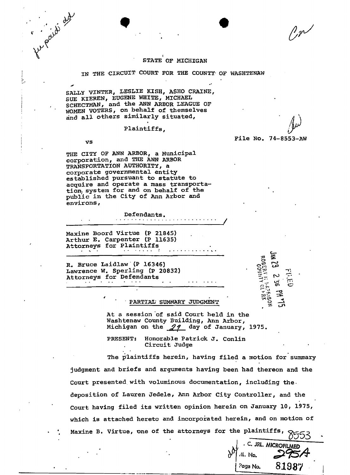$\mathcal{V}_{\mathcal{P}}$ 

File No. 74-8553-AW

Ξ

ഗ്ഗ്

## STATE OF MICHIGAN

IN THE CIRCUIT COURT FOR THE COUNTY OF WASHTENAW

SALLY VINTER, LESLIE KISH, ASHO CRAINE, SUE KIEREN, EUGENE WHITE, MICHAEL SCHECTMAN, and the ANN ARBOR LEAGUE OF WOMEN VOTERS, on behalf of themselves and all others similarly situated,

Plaintiffs.

## vs

fungaido de

THE CITY OF ANN ARBOR, a Municipal corporation, and THE ANN ARBOR TRANSPORTATION AUTHORITY, a corporate governmental entity established pursuant to statute to acquire and operate a mass transportation, system for and on behalf of the public in the City of Ann Arbor and environs,

> Defendants.

Maxine Boord Virtue (P 21845) Arthur E. Carpenter (P 11635) Attorneys for Plaintiffs  $\begin{array}{cccccccccccccc} . & . & . & . & . & . & . & . & . & . & . & . & . & . \end{array}$ 

R. Bruce Laidlaw (P 16346) Lawrence W. Sperling (P 20832) Attorneys for Defendants  $\sim$ 

## PARTIAL SUMMARY JUDGMENT

At a session of said Court held in the Washtenaw County Building, Ann Arbor, Michigan on the  $29$  day of January, 1975.

PRESENT: Honorable Patrick J. Conlin Circuit Judge

The plaintiffs herein, having filed a motion for summary judgment and briefs and arguments having been had thereon and the Court presented with voluminous documentation, including the. deposition of Lauren Jedele, Ann Arbor City Controller, and the Court having filed its written opinion herein on January 10, 1975, which is attached hereto and incorporated herein, and on motion of Maxine B. Virtue, one of the attorneys for the plaintiffs,

> C. JRL. MICROFILMEI .U. No. 81987 Paga No.